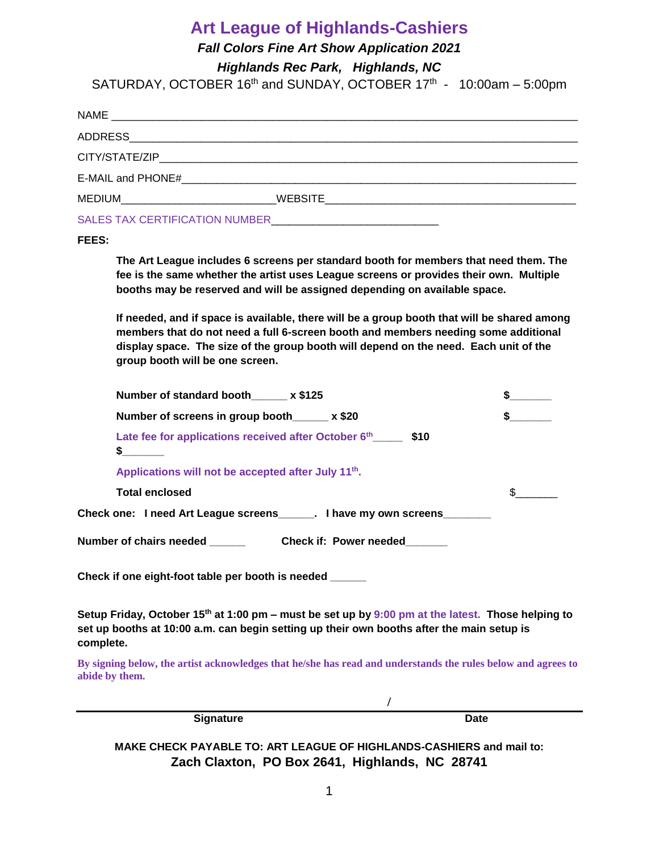### **Art League of Highlands-Cashiers**

*Fall Colors Fine Art Show Application 2021*

*Highlands Rec Park, Highlands, NC* 

SATURDAY, OCTOBER  $16<sup>th</sup>$  and SUNDAY, OCTOBER  $17<sup>th</sup>$  -  $10:00$ am - 5:00pm

| MEDIUM_____________________________ |  |  |
|-------------------------------------|--|--|
| SALES TAX CERTIFICATION NUMBER      |  |  |
|                                     |  |  |

#### **FEES:**

**The Art League includes 6 screens per standard booth for members that need them. The fee is the same whether the artist uses League screens or provides their own. Multiple booths may be reserved and will be assigned depending on available space.**

**If needed, and if space is available, there will be a group booth that will be shared among members that do not need a full 6-screen booth and members needing some additional display space. The size of the group booth will depend on the need. Each unit of the group booth will be one screen.**

| Number of standard booth x \$125                                                                                                                                                                           |  |
|------------------------------------------------------------------------------------------------------------------------------------------------------------------------------------------------------------|--|
| Number of screens in group booth_____ x \$20                                                                                                                                                               |  |
| Late fee for applications received after October 6 <sup>th</sup><br>\$10<br>s.                                                                                                                             |  |
| Applications will not be accepted after July 11 <sup>th</sup> .                                                                                                                                            |  |
| <b>Total enclosed</b>                                                                                                                                                                                      |  |
| Check one: I need Art League screens______. I have my own screens________                                                                                                                                  |  |
| Number of chairs needed <b>Check if: Power needed</b>                                                                                                                                                      |  |
| Check if one eight-foot table per booth is needed ______                                                                                                                                                   |  |
| Setup Friday, October 15 <sup>th</sup> at 1:00 pm – must be set up by 9:00 pm at the latest. Those helping to<br>set up booths at 10:00 a.m. can begin setting up their own booths after the main setup is |  |

**complete.** 

**By signing below, the artist acknowledges that he/she has read and understands the rules below and agrees to abide by them.**

**/**

**Signature Date** 

**MAKE CHECK PAYABLE TO: ART LEAGUE OF HIGHLANDS-CASHIERS and mail to: Zach Claxton, PO Box 2641, Highlands, NC 28741**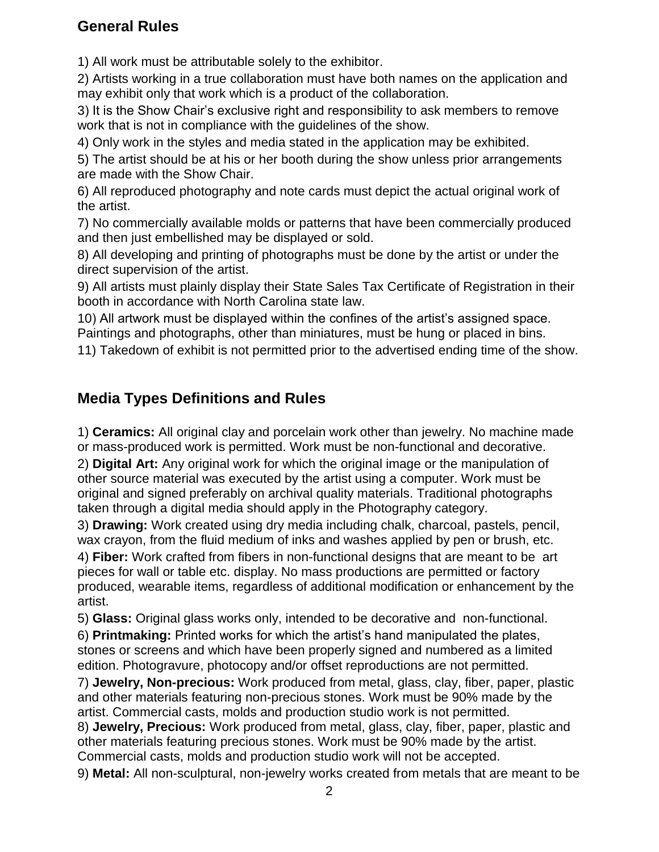#### **General Rules**

1) All work must be attributable solely to the exhibitor.

2) Artists working in a true collaboration must have both names on the application and may exhibit only that work which is a product of the collaboration.

3) It is the Show Chair's exclusive right and responsibility to ask members to remove work that is not in compliance with the guidelines of the show.

4) Only work in the styles and media stated in the application may be exhibited.

5) The artist should be at his or her booth during the show unless prior arrangements are made with the Show Chair.

6) All reproduced photography and note cards must depict the actual original work of the artist.

7) No commercially available molds or patterns that have been commercially produced and then just embellished may be displayed or sold.

8) All developing and printing of photographs must be done by the artist or under the direct supervision of the artist.

9) All artists must plainly display their State Sales Tax Certificate of Registration in their booth in accordance with North Carolina state law.

10) All artwork must be displayed within the confines of the artist's assigned space. Paintings and photographs, other than miniatures, must be hung or placed in bins.

11) Takedown of exhibit is not permitted prior to the advertised ending time of the show.

#### **Media Types Definitions and Rules**

1) **Ceramics:** All original clay and porcelain work other than jewelry. No machine made or mass-produced work is permitted. Work must be non-functional and decorative.

2) **Digital Art:** Any original work for which the original image or the manipulation of other source material was executed by the artist using a computer. Work must be original and signed preferably on archival quality materials. Traditional photographs taken through a digital media should apply in the Photography category.

3) **Drawing:** Work created using dry media including chalk, charcoal, pastels, pencil, wax crayon, from the fluid medium of inks and washes applied by pen or brush, etc.

4) **Fiber:** Work crafted from fibers in non-functional designs that are meant to be art pieces for wall or table etc. display. No mass productions are permitted or factory produced, wearable items, regardless of additional modification or enhancement by the artist.

5) **Glass:** Original glass works only, intended to be decorative and non-functional.

6) **Printmaking:** Printed works for which the artist's hand manipulated the plates, stones or screens and which have been properly signed and numbered as a limited edition. Photogravure, photocopy and/or offset reproductions are not permitted.

7) **Jewelry, Non-precious:** Work produced from metal, glass, clay, fiber, paper, plastic and other materials featuring non-precious stones. Work must be 90% made by the artist. Commercial casts, molds and production studio work is not permitted.

8) **Jewelry, Precious:** Work produced from metal, glass, clay, fiber, paper, plastic and other materials featuring precious stones. Work must be 90% made by the artist. Commercial casts, molds and production studio work will not be accepted.

9) **Metal:** All non-sculptural, non-jewelry works created from metals that are meant to be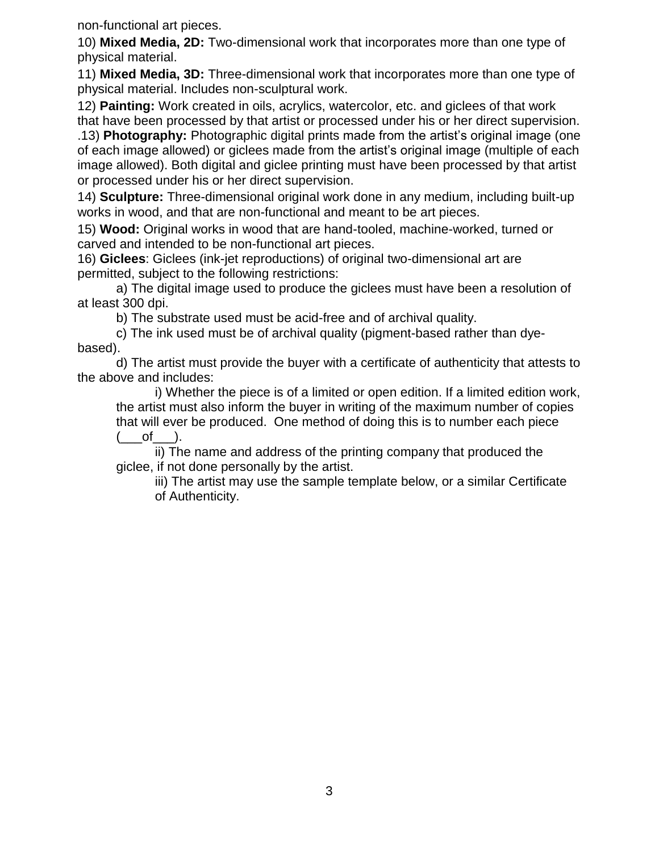non-functional art pieces.

10) **Mixed Media, 2D:** Two-dimensional work that incorporates more than one type of physical material.

11) **Mixed Media, 3D:** Three-dimensional work that incorporates more than one type of physical material. Includes non-sculptural work.

12) **Painting:** Work created in oils, acrylics, watercolor, etc. and giclees of that work that have been processed by that artist or processed under his or her direct supervision.

.13) **Photography:** Photographic digital prints made from the artist's original image (one of each image allowed) or giclees made from the artist's original image (multiple of each image allowed). Both digital and giclee printing must have been processed by that artist or processed under his or her direct supervision.

14) **Sculpture:** Three-dimensional original work done in any medium, including built-up works in wood, and that are non-functional and meant to be art pieces.

15) **Wood:** Original works in wood that are hand-tooled, machine-worked, turned or carved and intended to be non-functional art pieces.

16) **Giclees**: Giclees (ink-jet reproductions) of original two-dimensional art are permitted, subject to the following restrictions:

a) The digital image used to produce the giclees must have been a resolution of at least 300 dpi.

b) The substrate used must be acid-free and of archival quality.

c) The ink used must be of archival quality (pigment-based rather than dyebased).

d) The artist must provide the buyer with a certificate of authenticity that attests to the above and includes:

i) Whether the piece is of a limited or open edition. If a limited edition work, the artist must also inform the buyer in writing of the maximum number of copies that will ever be produced. One method of doing this is to number each piece  $(\underline{\hspace{1cm}}ot\underline{\hspace{1cm}}).$ 

ii) The name and address of the printing company that produced the giclee, if not done personally by the artist.

iii) The artist may use the sample template below, or a similar Certificate of Authenticity.